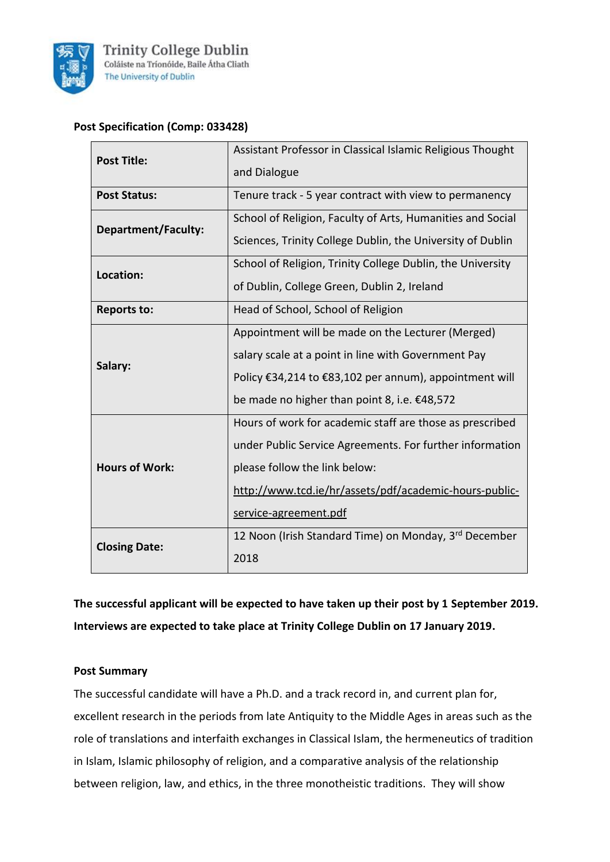

**Trinity College Dublin** Coláiste na Tríonóide, Baile Átha Cliath The University of Dublin

# **Post Specification (Comp: 033428)**

| <b>Post Title:</b>    | Assistant Professor in Classical Islamic Religious Thought |
|-----------------------|------------------------------------------------------------|
|                       | and Dialogue                                               |
| <b>Post Status:</b>   | Tenure track - 5 year contract with view to permanency     |
| Department/Faculty:   | School of Religion, Faculty of Arts, Humanities and Social |
|                       | Sciences, Trinity College Dublin, the University of Dublin |
| Location:             | School of Religion, Trinity College Dublin, the University |
|                       | of Dublin, College Green, Dublin 2, Ireland                |
| <b>Reports to:</b>    | Head of School, School of Religion                         |
| Salary:               | Appointment will be made on the Lecturer (Merged)          |
|                       | salary scale at a point in line with Government Pay        |
|                       | Policy €34,214 to €83,102 per annum), appointment will     |
|                       | be made no higher than point 8, i.e. €48,572               |
| <b>Hours of Work:</b> | Hours of work for academic staff are those as prescribed   |
|                       | under Public Service Agreements. For further information   |
|                       | please follow the link below:                              |
|                       | http://www.tcd.ie/hr/assets/pdf/academic-hours-public-     |
|                       | service-agreement.pdf                                      |
| <b>Closing Date:</b>  | 12 Noon (Irish Standard Time) on Monday, 3rd December      |
|                       | 2018                                                       |

**The successful applicant will be expected to have taken up their post by 1 September 2019. Interviews are expected to take place at Trinity College Dublin on 17 January 2019.**

#### **Post Summary**

The successful candidate will have a Ph.D. and a track record in, and current plan for, excellent research in the periods from late Antiquity to the Middle Ages in areas such as the role of translations and interfaith exchanges in Classical Islam, the hermeneutics of tradition in Islam, Islamic philosophy of religion, and a comparative analysis of the relationship between religion, law, and ethics, in the three monotheistic traditions. They will show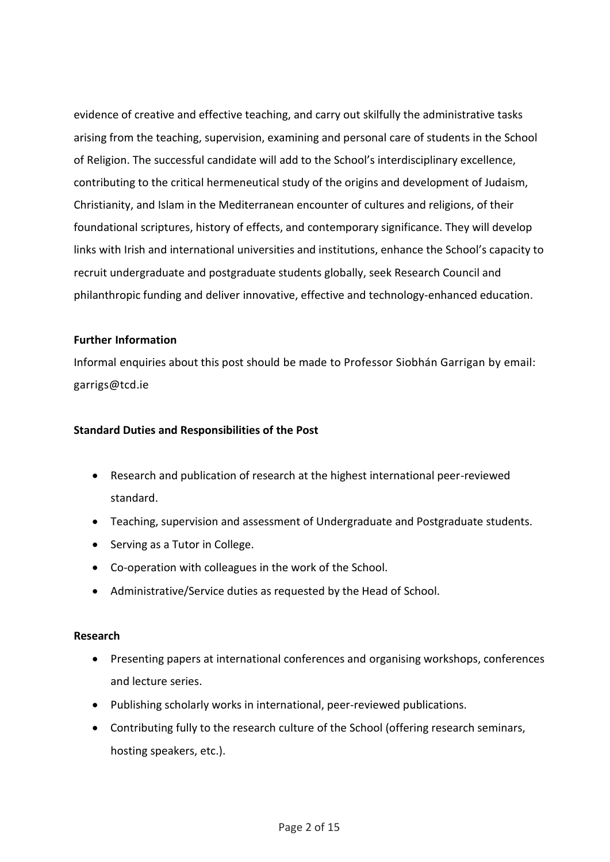evidence of creative and effective teaching, and carry out skilfully the administrative tasks arising from the teaching, supervision, examining and personal care of students in the School of Religion. The successful candidate will add to the School's interdisciplinary excellence, contributing to the critical hermeneutical study of the origins and development of Judaism, Christianity, and Islam in the Mediterranean encounter of cultures and religions, of their foundational scriptures, history of effects, and contemporary significance. They will develop links with Irish and international universities and institutions, enhance the School's capacity to recruit undergraduate and postgraduate students globally, seek Research Council and philanthropic funding and deliver innovative, effective and technology-enhanced education.

#### **Further Information**

Informal enquiries about this post should be made to Professor Siobhán Garrigan by email: garrigs@tcd.ie

## **Standard Duties and Responsibilities of the Post**

- Research and publication of research at the highest international peer-reviewed standard.
- Teaching, supervision and assessment of Undergraduate and Postgraduate students.
- Serving as a Tutor in College.
- Co-operation with colleagues in the work of the School.
- Administrative/Service duties as requested by the Head of School.

#### **Research**

- Presenting papers at international conferences and organising workshops, conferences and lecture series.
- Publishing scholarly works in international, peer-reviewed publications.
- Contributing fully to the research culture of the School (offering research seminars, hosting speakers, etc.).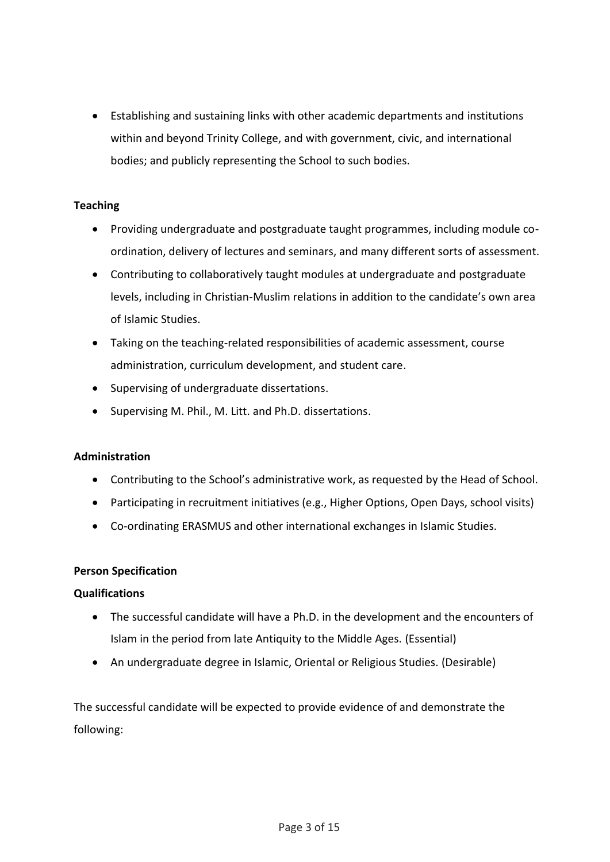• Establishing and sustaining links with other academic departments and institutions within and beyond Trinity College, and with government, civic, and international bodies; and publicly representing the School to such bodies.

## **Teaching**

- Providing undergraduate and postgraduate taught programmes, including module coordination, delivery of lectures and seminars, and many different sorts of assessment.
- Contributing to collaboratively taught modules at undergraduate and postgraduate levels, including in Christian-Muslim relations in addition to the candidate's own area of Islamic Studies.
- Taking on the teaching-related responsibilities of academic assessment, course administration, curriculum development, and student care.
- Supervising of undergraduate dissertations.
- Supervising M. Phil., M. Litt. and Ph.D. dissertations.

#### **Administration**

- Contributing to the School's administrative work, as requested by the Head of School.
- Participating in recruitment initiatives (e.g., Higher Options, Open Days, school visits)
- Co-ordinating ERASMUS and other international exchanges in Islamic Studies.

#### **Person Specification**

#### **Qualifications**

- The successful candidate will have a Ph.D. in the development and the encounters of Islam in the period from late Antiquity to the Middle Ages. (Essential)
- An undergraduate degree in Islamic, Oriental or Religious Studies. (Desirable)

The successful candidate will be expected to provide evidence of and demonstrate the following: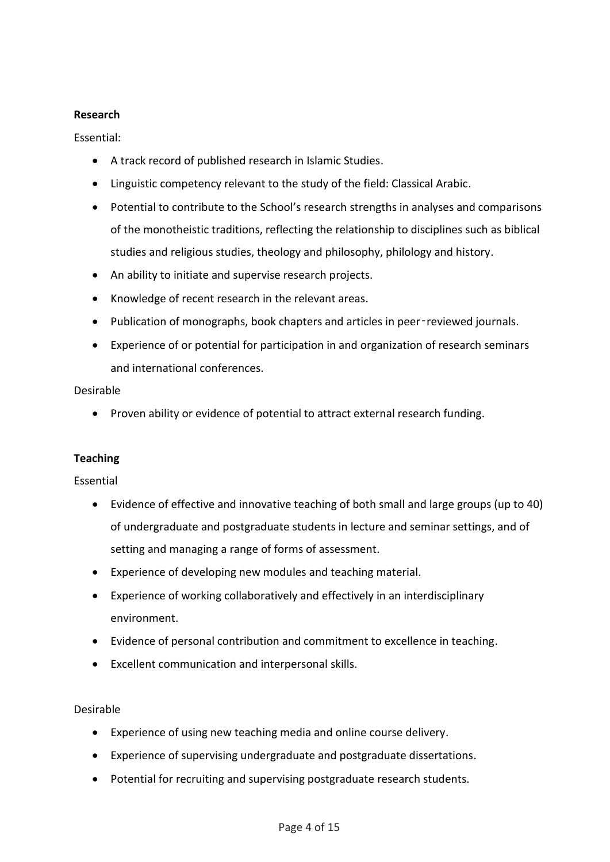## **Research**

Essential:

- A track record of published research in Islamic Studies.
- Linguistic competency relevant to the study of the field: Classical Arabic.
- Potential to contribute to the School's research strengths in analyses and comparisons of the monotheistic traditions, reflecting the relationship to disciplines such as biblical studies and religious studies, theology and philosophy, philology and history.
- An ability to initiate and supervise research projects.
- Knowledge of recent research in the relevant areas.
- Publication of monographs, book chapters and articles in peer‑reviewed journals.
- Experience of or potential for participation in and organization of research seminars and international conferences.

Desirable

• Proven ability or evidence of potential to attract external research funding.

# **Teaching**

Essential

- Evidence of effective and innovative teaching of both small and large groups (up to 40) of undergraduate and postgraduate students in lecture and seminar settings, and of setting and managing a range of forms of assessment.
- Experience of developing new modules and teaching material.
- Experience of working collaboratively and effectively in an interdisciplinary environment.
- Evidence of personal contribution and commitment to excellence in teaching.
- Excellent communication and interpersonal skills.

Desirable

- Experience of using new teaching media and online course delivery.
- Experience of supervising undergraduate and postgraduate dissertations.
- Potential for recruiting and supervising postgraduate research students.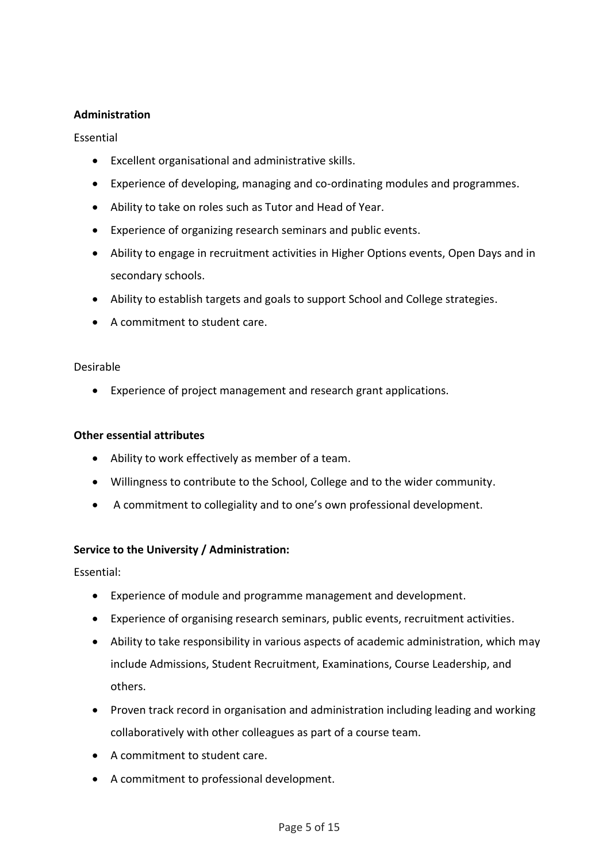## **Administration**

## Essential

- Excellent organisational and administrative skills.
- Experience of developing, managing and co-ordinating modules and programmes.
- Ability to take on roles such as Tutor and Head of Year.
- Experience of organizing research seminars and public events.
- Ability to engage in recruitment activities in Higher Options events, Open Days and in secondary schools.
- Ability to establish targets and goals to support School and College strategies.
- A commitment to student care.

## Desirable

• Experience of project management and research grant applications.

## **Other essential attributes**

- Ability to work effectively as member of a team.
- Willingness to contribute to the School, College and to the wider community.
- A commitment to collegiality and to one's own professional development.

# **Service to the University / Administration:**

Essential:

- Experience of module and programme management and development.
- Experience of organising research seminars, public events, recruitment activities.
- Ability to take responsibility in various aspects of academic administration, which may include Admissions, Student Recruitment, Examinations, Course Leadership, and others.
- Proven track record in organisation and administration including leading and working collaboratively with other colleagues as part of a course team.
- A commitment to student care.
- A commitment to professional development.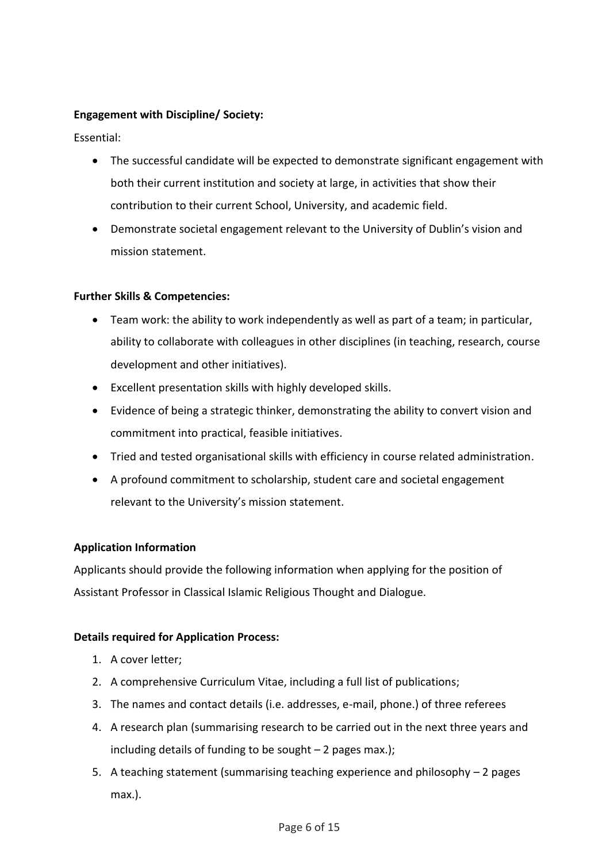# **Engagement with Discipline/ Society:**

Essential:

- The successful candidate will be expected to demonstrate significant engagement with both their current institution and society at large, in activities that show their contribution to their current School, University, and academic field.
- Demonstrate societal engagement relevant to the University of Dublin's vision and mission statement.

#### **Further Skills & Competencies:**

- Team work: the ability to work independently as well as part of a team; in particular, ability to collaborate with colleagues in other disciplines (in teaching, research, course development and other initiatives).
- Excellent presentation skills with highly developed skills.
- Evidence of being a strategic thinker, demonstrating the ability to convert vision and commitment into practical, feasible initiatives.
- Tried and tested organisational skills with efficiency in course related administration.
- A profound commitment to scholarship, student care and societal engagement relevant to the University's mission statement.

# **Application Information**

Applicants should provide the following information when applying for the position of Assistant Professor in Classical Islamic Religious Thought and Dialogue.

#### **Details required for Application Process:**

- 1. A cover letter;
- 2. A comprehensive Curriculum Vitae, including a full list of publications;
- 3. The names and contact details (i.e. addresses, e-mail, phone.) of three referees
- 4. A research plan (summarising research to be carried out in the next three years and including details of funding to be sought  $-2$  pages max.);
- 5. A teaching statement (summarising teaching experience and philosophy 2 pages max.).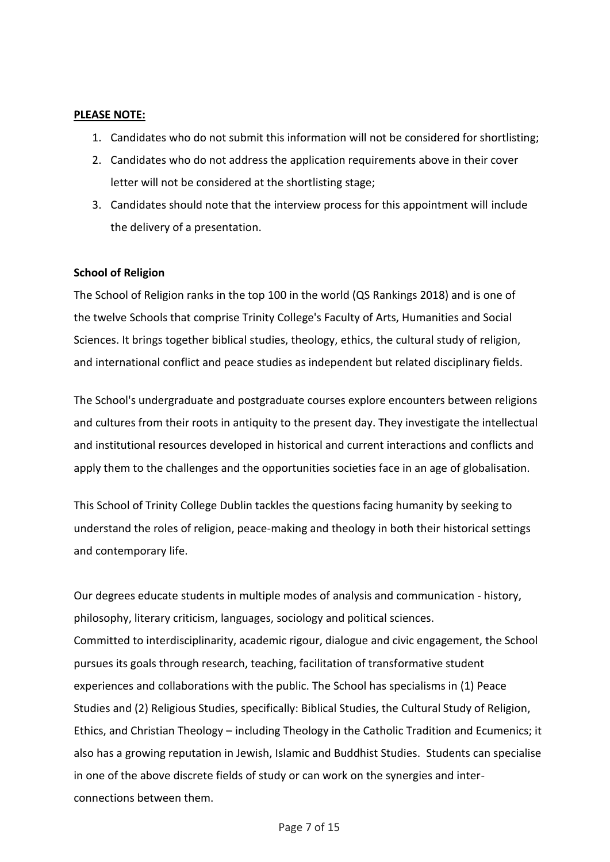#### **PLEASE NOTE:**

- 1. Candidates who do not submit this information will not be considered for shortlisting;
- 2. Candidates who do not address the application requirements above in their cover letter will not be considered at the shortlisting stage;
- 3. Candidates should note that the interview process for this appointment will include the delivery of a presentation.

#### **School of Religion**

The School of Religion ranks in the top 100 in the world (QS Rankings 2018) and is one of the twelve Schools that comprise Trinity College's Faculty of Arts, Humanities and Social Sciences. It brings together biblical studies, theology, ethics, the cultural study of religion, and international conflict and peace studies as independent but related disciplinary fields.

The School's undergraduate and postgraduate courses explore encounters between religions and cultures from their roots in antiquity to the present day. They investigate the intellectual and institutional resources developed in historical and current interactions and conflicts and apply them to the challenges and the opportunities societies face in an age of globalisation.

This School of Trinity College Dublin tackles the questions facing humanity by seeking to understand the roles of religion, peace-making and theology in both their historical settings and contemporary life.

Our degrees educate students in multiple modes of analysis and communication - history, philosophy, literary criticism, languages, sociology and political sciences. Committed to interdisciplinarity, academic rigour, dialogue and civic engagement, the School pursues its goals through research, teaching, facilitation of transformative student experiences and collaborations with the public. The School has specialisms in (1) Peace Studies and (2) Religious Studies, specifically: Biblical Studies, the Cultural Study of Religion, Ethics, and Christian Theology – including Theology in the Catholic Tradition and Ecumenics; it also has a growing reputation in Jewish, Islamic and Buddhist Studies. Students can specialise in one of the above discrete fields of study or can work on the synergies and interconnections between them.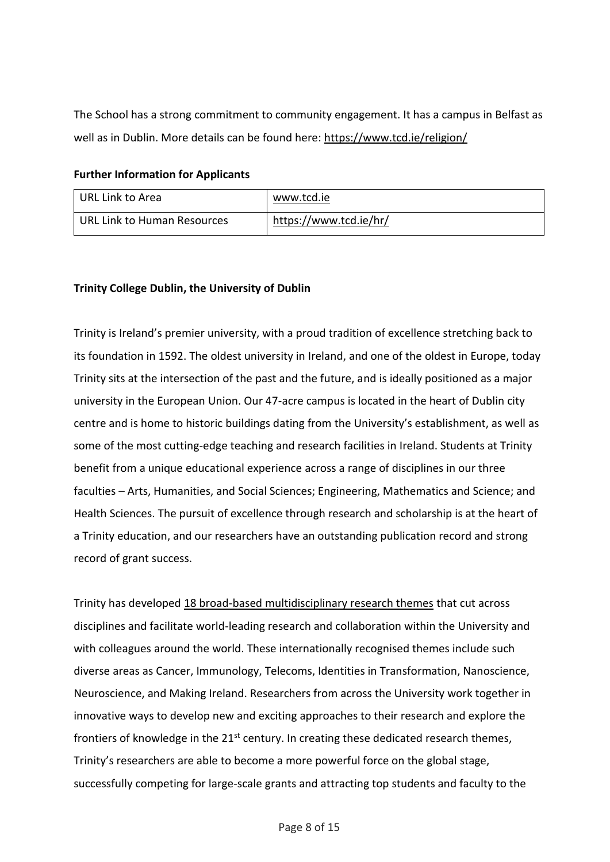The School has a strong commitment to community engagement. It has a campus in Belfast as well as in Dublin. More details can be found here:<https://www.tcd.ie/religion/>

## **Further Information for Applicants**

| URL Link to Area            | www.tcd.ie             |
|-----------------------------|------------------------|
| URL Link to Human Resources | https://www.tcd.ie/hr/ |

# **Trinity College Dublin, the University of Dublin**

Trinity is Ireland's premier university, with a proud tradition of excellence stretching back to its foundation in 1592. The oldest university in Ireland, and one of the oldest in Europe, today Trinity sits at the intersection of the past and the future, and is ideally positioned as a major university in the European Union. Our 47-acre campus is located in the heart of Dublin city centre and is home to historic buildings dating from the University's establishment, as well as some of the most cutting-edge teaching and research facilities in Ireland. Students at Trinity benefit from a unique educational experience across a range of disciplines in our three faculties – Arts, Humanities, and Social Sciences; Engineering, Mathematics and Science; and Health Sciences. The pursuit of excellence through research and scholarship is at the heart of a Trinity education, and our researchers have an outstanding publication record and strong record of grant success.

Trinity has developed 18 [broad-based multidisciplinary research themes](https://www.tcd.ie/research/themes/) that cut across disciplines and facilitate world-leading research and collaboration within the University and with colleagues around the world. These internationally recognised themes include such diverse areas as Cancer, Immunology, Telecoms, Identities in Transformation, Nanoscience, Neuroscience, and Making Ireland. Researchers from across the University work together in innovative ways to develop new and exciting approaches to their research and explore the frontiers of knowledge in the  $21<sup>st</sup>$  century. In creating these dedicated research themes, Trinity's researchers are able to become a more powerful force on the global stage, successfully competing for large-scale grants and attracting top students and faculty to the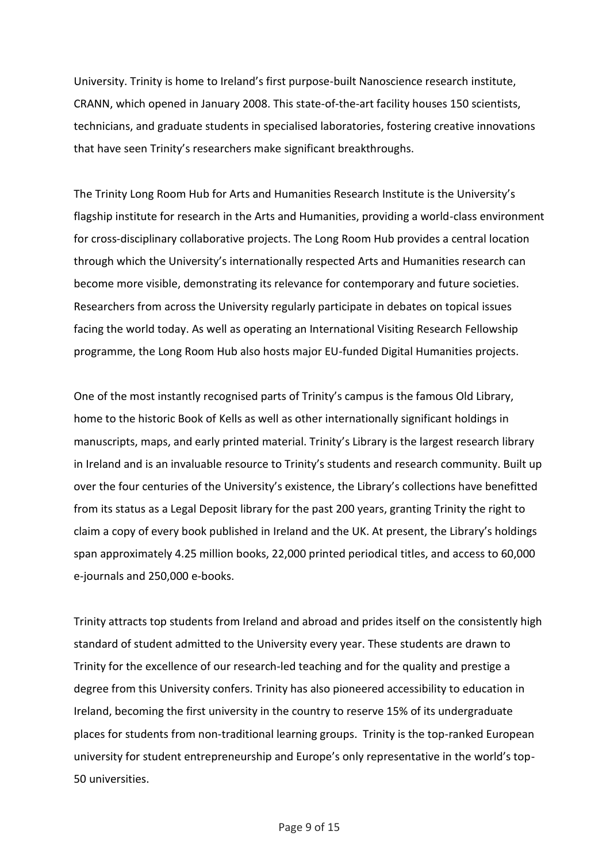University. Trinity is home to Ireland's first purpose-built Nanoscience research institute, CRANN, which opened in January 2008. This state-of-the-art facility houses 150 scientists, technicians, and graduate students in specialised laboratories, fostering creative innovations that have seen Trinity's researchers make significant breakthroughs.

The Trinity Long Room Hub for Arts and Humanities Research Institute is the University's flagship institute for research in the Arts and Humanities, providing a world-class environment for cross-disciplinary collaborative projects. The Long Room Hub provides a central location through which the University's internationally respected Arts and Humanities research can become more visible, demonstrating its relevance for contemporary and future societies. Researchers from across the University regularly participate in debates on topical issues facing the world today. As well as operating an International Visiting Research Fellowship programme, the Long Room Hub also hosts major EU-funded Digital Humanities projects.

One of the most instantly recognised parts of Trinity's campus is the famous Old Library, home to the historic Book of Kells as well as other internationally significant holdings in manuscripts, maps, and early printed material. Trinity's Library is the largest research library in Ireland and is an invaluable resource to Trinity's students and research community. Built up over the four centuries of the University's existence, the Library's collections have benefitted from its status as a Legal Deposit library for the past 200 years, granting Trinity the right to claim a copy of every book published in Ireland and the UK. At present, the Library's holdings span approximately 4.25 million books, 22,000 printed periodical titles, and access to 60,000 e-journals and 250,000 e-books.

Trinity attracts top students from Ireland and abroad and prides itself on the consistently high standard of student admitted to the University every year. These students are drawn to Trinity for the excellence of our research-led teaching and for the quality and prestige a degree from this University confers. Trinity has also pioneered accessibility to education in Ireland, becoming the first university in the country to reserve 15% of its undergraduate places for students from non-traditional learning groups. Trinity is the top-ranked European university for student entrepreneurship and Europe's only representative in the world's top-50 universities.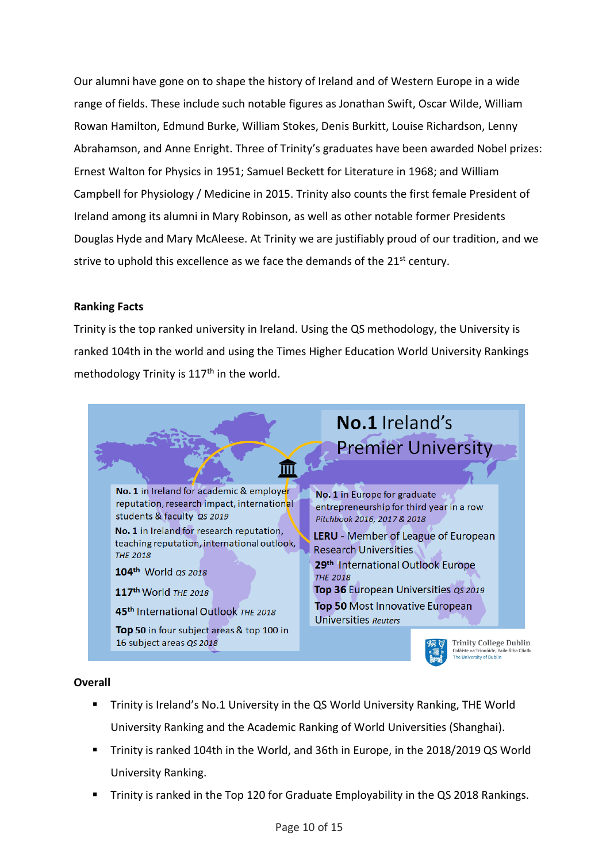Our alumni have gone on to shape the history of Ireland and of Western Europe in a wide range of fields. These include such notable figures as Jonathan Swift, Oscar Wilde, William Rowan Hamilton, Edmund Burke, William Stokes, Denis Burkitt, Louise Richardson, Lenny Abrahamson, and Anne Enright. Three of Trinity's graduates have been awarded Nobel prizes: Ernest Walton for Physics in 1951; Samuel Beckett for Literature in 1968; and William Campbell for Physiology / Medicine in 2015. Trinity also counts the first female President of Ireland among its alumni in Mary Robinson, as well as other notable former Presidents Douglas Hyde and Mary McAleese. At Trinity we are justifiably proud of our tradition, and we strive to uphold this excellence as we face the demands of the 21<sup>st</sup> century.

# **Ranking Facts**

Trinity is the top ranked university in Ireland. Using the QS methodology, the University is ranked 104th in the world and using the Times Higher Education World University Rankings methodology Trinity is  $117<sup>th</sup>$  in the world.



# **Overall**

- Trinity is Ireland's No.1 University in the QS World University Ranking, THE World University Ranking and the Academic Ranking of World Universities (Shanghai).
- Trinity is ranked 104th in the World, and 36th in Europe, in the 2018/2019 QS World University Ranking.
- Trinity is ranked in the Top 120 for Graduate Employability in the QS 2018 Rankings.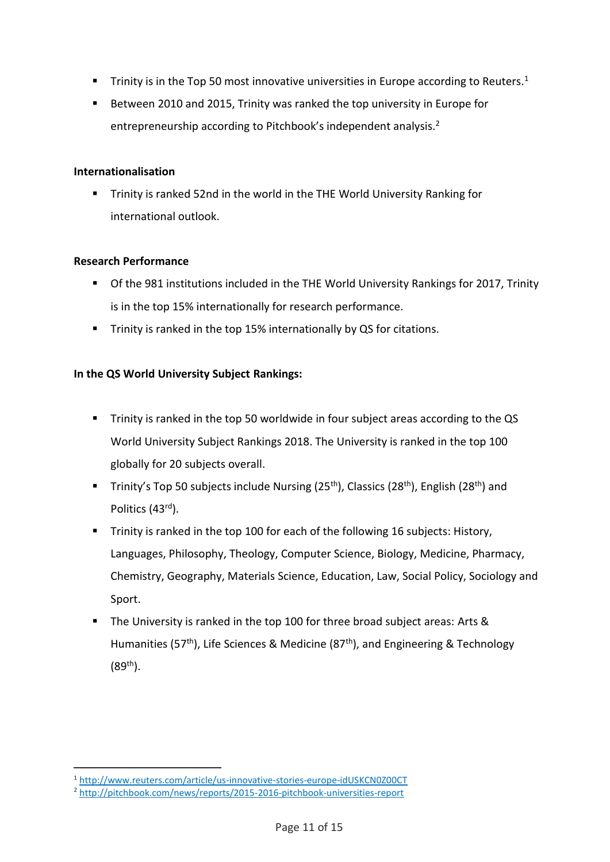- **•** Trinity is in the Top 50 most innovative universities in Europe according to Reuters.<sup>1</sup>
- Between 2010 and 2015, Trinity was ranked the top university in Europe for entrepreneurship according to Pitchbook's independent analysis.<sup>2</sup>

#### **Internationalisation**

■ Trinity is ranked 52nd in the world in the THE World University Ranking for international outlook.

## **Research Performance**

.

- Of the 981 institutions included in the THE World University Rankings for 2017, Trinity is in the top 15% internationally for research performance.
- Trinity is ranked in the top 15% internationally by QS for citations.

# **In the QS World University Subject Rankings:**

- **EXT** Trinity is ranked in the top 50 worldwide in four subject areas according to the QS World University Subject Rankings 2018. The University is ranked in the top 100 globally for 20 subjects overall.
- **Tinity's Top 50 subjects include Nursing (25<sup>th</sup>), Classics (28<sup>th</sup>), English (28<sup>th</sup>) and** Politics (43rd).
- **E** Trinity is ranked in the top 100 for each of the following 16 subjects: History, Languages, Philosophy, Theology, Computer Science, Biology, Medicine, Pharmacy, Chemistry, Geography, Materials Science, Education, Law, Social Policy, Sociology and Sport.
- The University is ranked in the top 100 for three broad subject areas: Arts & Humanities (57<sup>th</sup>), Life Sciences & Medicine (87<sup>th</sup>), and Engineering & Technology  $(89^{th})$ .

<sup>1</sup> <http://www.reuters.com/article/us-innovative-stories-europe-idUSKCN0Z00CT>

<sup>2</sup> <http://pitchbook.com/news/reports/2015-2016-pitchbook-universities-report>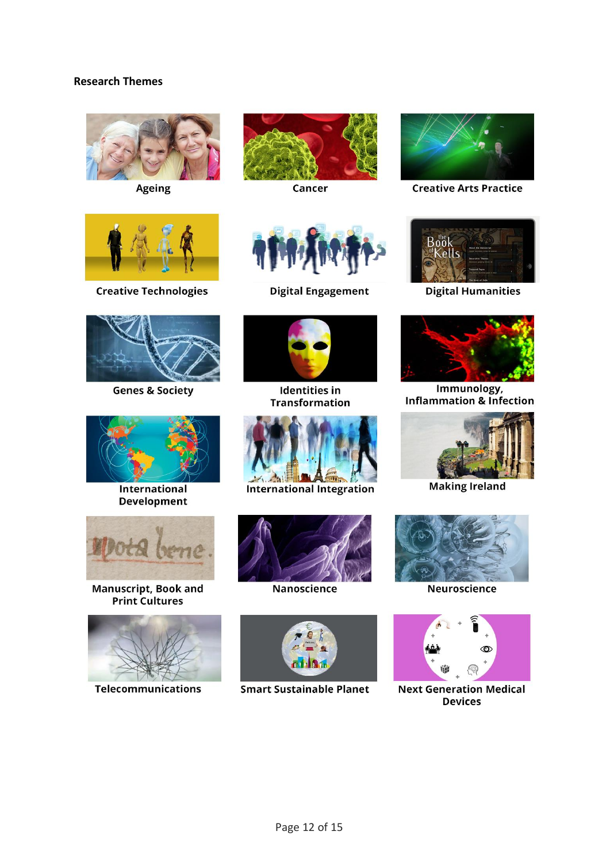## **Research Themes**



Ageing



Cancer



**Creative Arts Practice** 



**Creative Technologies** 



**Genes & Society** 



International **Development** 



Manuscript, Book and<br>Print Cultures



**Telecommunications** 



**Digital Engagement** 



**Identities in Transformation** 



**International Integration** 



Nanoscience



**Smart Sustainable Planet** 



**Digital Humanities** 



Immunology, **Inflammation & Infection** 



**Making Ireland** 



**Neuroscience** 



**Next Generation Medical Devices**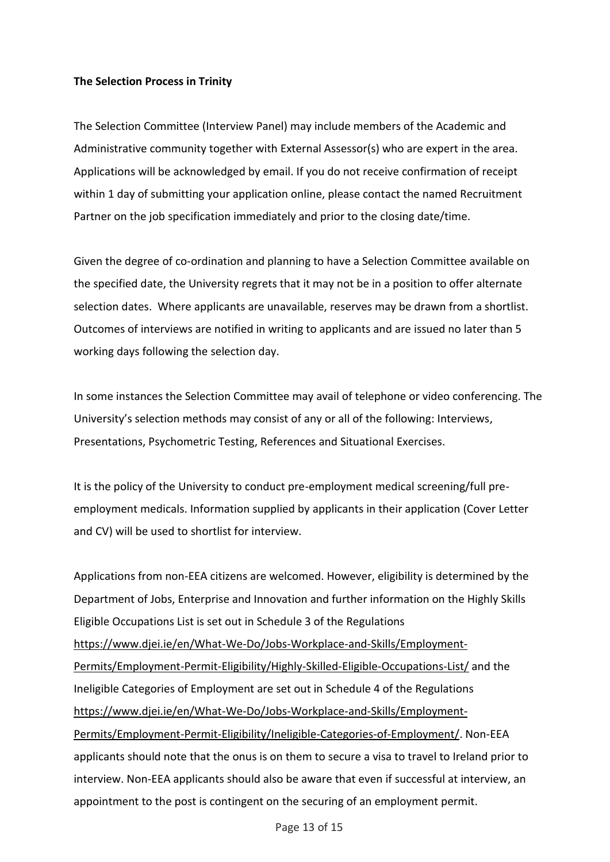#### **The Selection Process in Trinity**

The Selection Committee (Interview Panel) may include members of the Academic and Administrative community together with External Assessor(s) who are expert in the area. Applications will be acknowledged by email. If you do not receive confirmation of receipt within 1 day of submitting your application online, please contact the named Recruitment Partner on the job specification immediately and prior to the closing date/time.

Given the degree of co-ordination and planning to have a Selection Committee available on the specified date, the University regrets that it may not be in a position to offer alternate selection dates. Where applicants are unavailable, reserves may be drawn from a shortlist. Outcomes of interviews are notified in writing to applicants and are issued no later than 5 working days following the selection day.

In some instances the Selection Committee may avail of telephone or video conferencing. The University's selection methods may consist of any or all of the following: Interviews, Presentations, Psychometric Testing, References and Situational Exercises.

It is the policy of the University to conduct pre-employment medical screening/full preemployment medicals. Information supplied by applicants in their application (Cover Letter and CV) will be used to shortlist for interview.

Applications from non-EEA citizens are welcomed. However, eligibility is determined by the Department of Jobs, Enterprise and Innovation and further information on the Highly Skills Eligible Occupations List is set out in Schedule 3 of the Regulations [https://www.djei.ie/en/What-We-Do/Jobs-Workplace-and-Skills/Employment-](https://www.djei.ie/en/What-We-Do/Jobs-Workplace-and-Skills/Employment-Permits/Employment-Permit-Eligibility/Highly-Skilled-Eligible-Occupations-List/)[Permits/Employment-Permit-Eligibility/Highly-Skilled-Eligible-Occupations-List/](https://www.djei.ie/en/What-We-Do/Jobs-Workplace-and-Skills/Employment-Permits/Employment-Permit-Eligibility/Highly-Skilled-Eligible-Occupations-List/) and the Ineligible Categories of Employment are set out in Schedule 4 of the Regulations [https://www.djei.ie/en/What-We-Do/Jobs-Workplace-and-Skills/Employment-](https://www.djei.ie/en/What-We-Do/Jobs-Workplace-and-Skills/Employment-Permits/Employment-Permit-Eligibility/Ineligible-Categories-of-Employment/)[Permits/Employment-Permit-Eligibility/Ineligible-Categories-of-Employment/.](https://www.djei.ie/en/What-We-Do/Jobs-Workplace-and-Skills/Employment-Permits/Employment-Permit-Eligibility/Ineligible-Categories-of-Employment/) Non-EEA applicants should note that the onus is on them to secure a visa to travel to Ireland prior to interview. Non-EEA applicants should also be aware that even if successful at interview, an appointment to the post is contingent on the securing of an employment permit.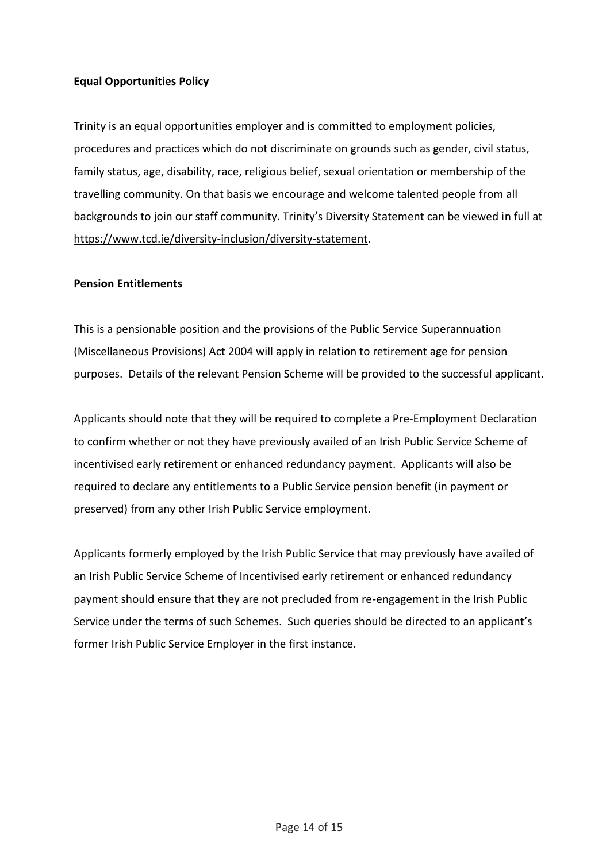## **Equal Opportunities Policy**

Trinity is an equal opportunities employer and is committed to employment policies, procedures and practices which do not discriminate on grounds such as gender, civil status, family status, age, disability, race, religious belief, sexual orientation or membership of the travelling community. On that basis we encourage and welcome talented people from all backgrounds to join our staff community. Trinity's Diversity Statement can be viewed in full at [https://www.tcd.ie/diversity-inclusion/diversity-statement.](https://www.tcd.ie/diversity-inclusion/diversity-statement)

#### **Pension Entitlements**

This is a pensionable position and the provisions of the Public Service Superannuation (Miscellaneous Provisions) Act 2004 will apply in relation to retirement age for pension purposes. Details of the relevant Pension Scheme will be provided to the successful applicant.

Applicants should note that they will be required to complete a Pre-Employment Declaration to confirm whether or not they have previously availed of an Irish Public Service Scheme of incentivised early retirement or enhanced redundancy payment. Applicants will also be required to declare any entitlements to a Public Service pension benefit (in payment or preserved) from any other Irish Public Service employment.

Applicants formerly employed by the Irish Public Service that may previously have availed of an Irish Public Service Scheme of Incentivised early retirement or enhanced redundancy payment should ensure that they are not precluded from re-engagement in the Irish Public Service under the terms of such Schemes. Such queries should be directed to an applicant's former Irish Public Service Employer in the first instance.